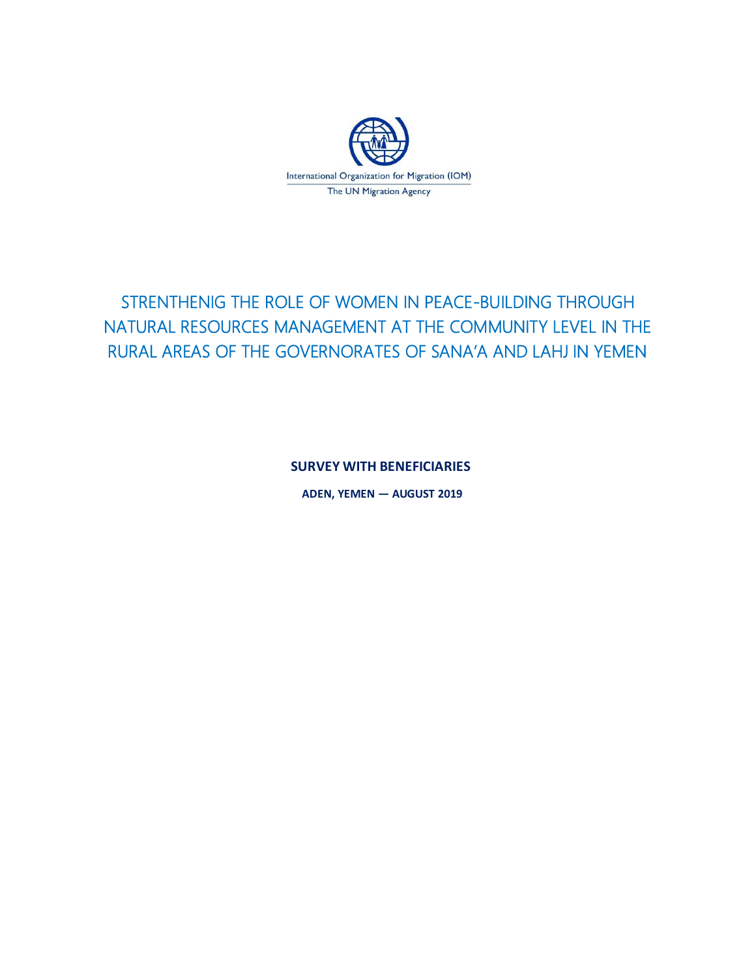

# STRENTHENIG THE ROLE OF WOMEN IN PEACE-BUILDING THROUGH NATURAL RESOURCES MANAGEMENT AT THE COMMUNITY LEVEL IN THE RURAL AREAS OF THE GOVERNORATES OF SANA'A AND LAHJ IN YEMEN

**SURVEY WITH BENEFICIARIES**

**ADEN, YEMEN — AUGUST 2019**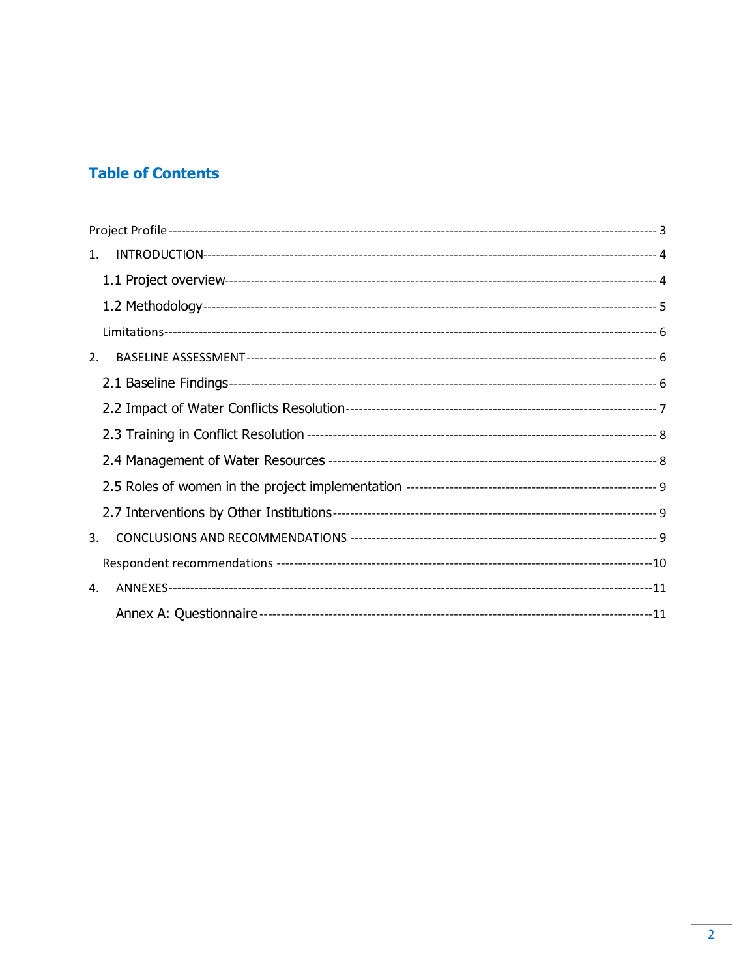# **Table of Contents**

| 1. |  |
|----|--|
|    |  |
|    |  |
|    |  |
| 2. |  |
|    |  |
|    |  |
|    |  |
|    |  |
|    |  |
|    |  |
| 3. |  |
|    |  |
| 4. |  |
|    |  |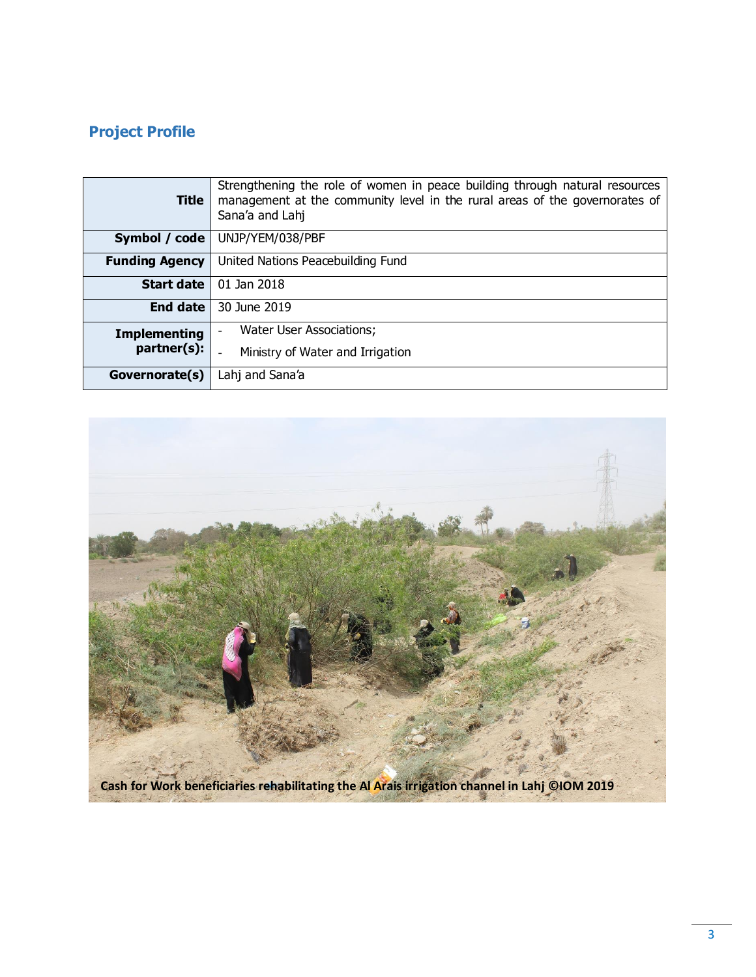# <span id="page-2-0"></span>**Project Profile**

| <b>Title</b>          | Strengthening the role of women in peace building through natural resources<br>management at the community level in the rural areas of the governorates of<br>Sana'a and Lahj |
|-----------------------|-------------------------------------------------------------------------------------------------------------------------------------------------------------------------------|
| Symbol / code         | UNJP/YEM/038/PBF                                                                                                                                                              |
| <b>Funding Agency</b> | United Nations Peacebuilding Fund                                                                                                                                             |
| <b>Start date</b>     | 01 Jan 2018                                                                                                                                                                   |
| <b>End date</b>       | 30 June 2019                                                                                                                                                                  |
| <b>Implementing</b>   | Water User Associations;<br>$\blacksquare$                                                                                                                                    |
| partner(s):           | Ministry of Water and Irrigation                                                                                                                                              |
| Governorate(s)        | Lahj and Sana'a                                                                                                                                                               |

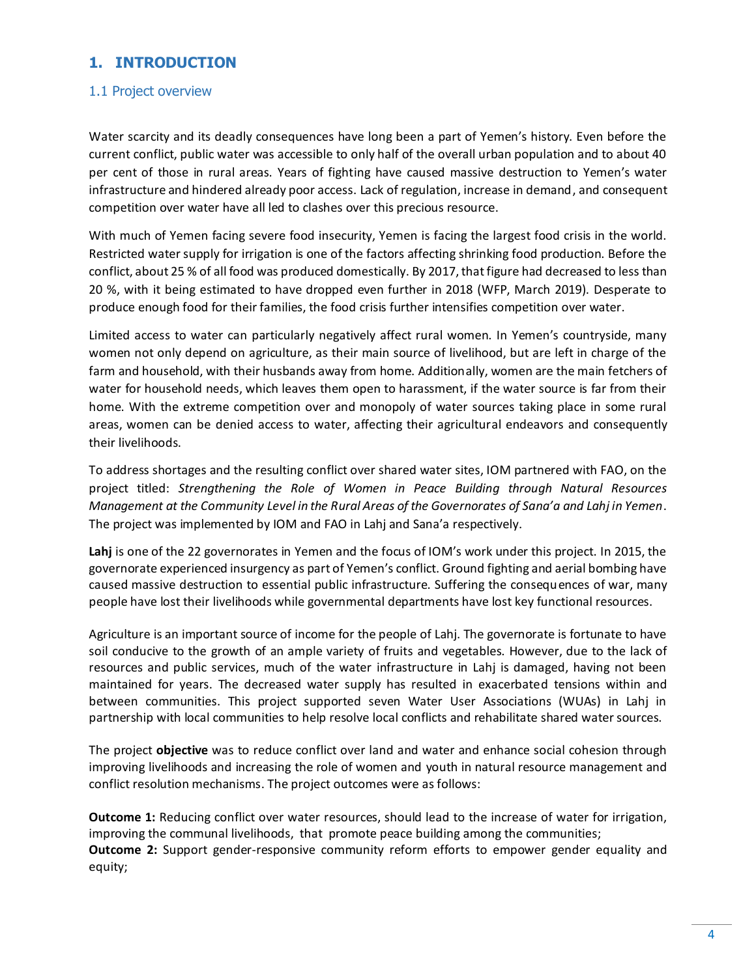# <span id="page-3-0"></span>**1. INTRODUCTION**

#### <span id="page-3-1"></span>1.1 Project overview

Water scarcity and its deadly consequences have long been a part of Yemen's history. Even before the current conflict, public water was accessible to only half of the overall urban population and to about 40 per cent of those in rural areas. Years of fighting have caused massive destruction to Yemen's water infrastructure and hindered already poor access. Lack of regulation, increase in demand, and consequent competition over water have all led to clashes over this precious resource.

With much of Yemen facing severe food insecurity, Yemen is facing the largest food crisis in the world. Restricted water supply for irrigation is one of the factors affecting shrinking food production. Before the conflict, about 25 % of all food was produced domestically. By 2017, that figure had decreased to less than 20 %, with it being estimated to have dropped even further in 2018 (WFP, March 2019). Desperate to produce enough food for their families, the food crisis further intensifies competition over water.

Limited access to water can particularly negatively affect rural women. In Yemen's countryside, many women not only depend on agriculture, as their main source of livelihood, but are left in charge of the farm and household, with their husbands away from home. Additionally, women are the main fetchers of water for household needs, which leaves them open to harassment, if the water source is far from their home. With the extreme competition over and monopoly of water sources taking place in some rural areas, women can be denied access to water, affecting their agricultural endeavors and consequently their livelihoods.

To address shortages and the resulting conflict over shared water sites, IOM partnered with FAO, on the project titled: *Strengthening the Role of Women in Peace Building through Natural Resources Management at the Community Level in the Rural Areas of the Governorates of Sana'a and Lahj in Yemen*. The project was implemented by IOM and FAO in Lahj and Sana'a respectively.

Lahj is one of the 22 governorates in Yemen and the focus of IOM's work under this project. In 2015, the governorate experienced insurgency as part of Yemen's conflict. Ground fighting and aerial bombing have caused massive destruction to essential public infrastructure. Suffering the consequences of war, many people have lost their livelihoods while governmental departments have lost key functional resources.

Agriculture is an important source of income for the people of Lahj. The governorate is fortunate to have soil conducive to the growth of an ample variety of fruits and vegetables. However, due to the lack of resources and public services, much of the water infrastructure in Lahj is damaged, having not been maintained for years. The decreased water supply has resulted in exacerbated tensions within and between communities. This project supported seven Water User Associations (WUAs) in Lahj in partnership with local communities to help resolve local conflicts and rehabilitate shared water sources.

The project **objective** was to reduce conflict over land and water and enhance social cohesion through improving livelihoods and increasing the role of women and youth in natural resource management and conflict resolution mechanisms. The project outcomes were as follows:

**Outcome 1:** Reducing conflict over water resources, should lead to the increase of water for irrigation, improving the communal livelihoods, that promote peace building among the communities; **Outcome 2:** Support gender-responsive community reform efforts to empower gender equality and equity;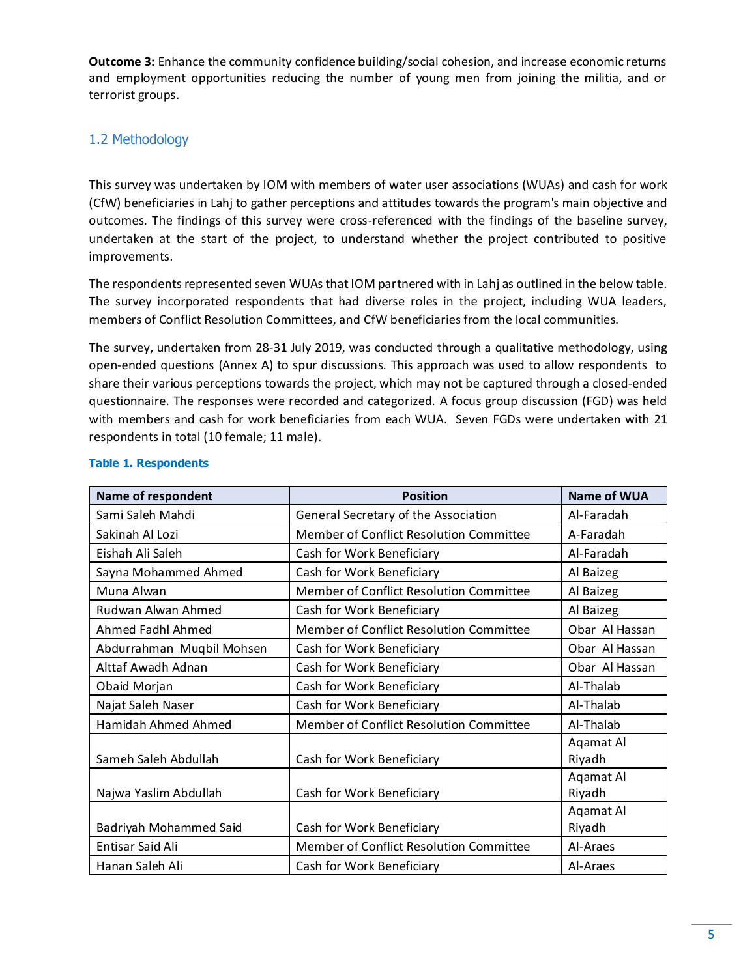**Outcome 3:** Enhance the community confidence building/social cohesion, and increase economic returns and employment opportunities reducing the number of young men from joining the militia, and or terrorist groups.

## <span id="page-4-0"></span>1.2 Methodology

This survey was undertaken by IOM with members of water user associations (WUAs) and cash for work (CfW) beneficiaries in Lahj to gather perceptions and attitudes towards the program's main objective and outcomes. The findings of this survey were cross-referenced with the findings of the baseline survey, undertaken at the start of the project, to understand whether the project contributed to positive improvements.

The respondents represented seven WUAs that IOM partnered with in Lahj as outlined in the below table. The survey incorporated respondents that had diverse roles in the project, including WUA leaders, members of Conflict Resolution Committees, and CfW beneficiaries from the local communities.

The survey, undertaken from 28-31 July 2019, was conducted through a qualitative methodology, using open-ended questions (Annex A) to spur discussions. This approach was used to allow respondents to share their various perceptions towards the project, which may not be captured through a closed-ended questionnaire. The responses were recorded and categorized. A focus group discussion (FGD) was held with members and cash for work beneficiaries from each WUA. Seven FGDs were undertaken with 21 respondents in total (10 female; 11 male).

| Name of respondent        | <b>Position</b>                                | <b>Name of WUA</b>  |
|---------------------------|------------------------------------------------|---------------------|
| Sami Saleh Mahdi          | General Secretary of the Association           | Al-Faradah          |
| Sakinah Al Lozi           | <b>Member of Conflict Resolution Committee</b> | A-Faradah           |
| Eishah Ali Saleh          | Cash for Work Beneficiary                      | Al-Faradah          |
| Sayna Mohammed Ahmed      | Cash for Work Beneficiary                      | Al Baizeg           |
| Muna Alwan                | Member of Conflict Resolution Committee        | Al Baizeg           |
| Rudwan Alwan Ahmed        | Cash for Work Beneficiary                      | Al Baizeg           |
| Ahmed Fadhl Ahmed         | Member of Conflict Resolution Committee        | Obar Al Hassan      |
| Abdurrahman Muqbil Mohsen | Cash for Work Beneficiary                      | Obar Al Hassan      |
| Alttaf Awadh Adnan        | Cash for Work Beneficiary                      | Obar Al Hassan      |
| Obaid Morjan              | Cash for Work Beneficiary                      | Al-Thalab           |
| Najat Saleh Naser         | Cash for Work Beneficiary                      | Al-Thalab           |
| Hamidah Ahmed Ahmed       | Member of Conflict Resolution Committee        | Al-Thalab           |
| Sameh Saleh Abdullah      | Cash for Work Beneficiary                      | Aqamat Al<br>Riyadh |
| Najwa Yaslim Abdullah     | Cash for Work Beneficiary                      | Aqamat Al<br>Riyadh |
| Badriyah Mohammed Said    | Cash for Work Beneficiary                      | Agamat Al<br>Riyadh |
| Entisar Said Ali          | Member of Conflict Resolution Committee        | Al-Araes            |
| Hanan Saleh Ali           | Cash for Work Beneficiary                      | Al-Araes            |

#### **Table 1. Respondents**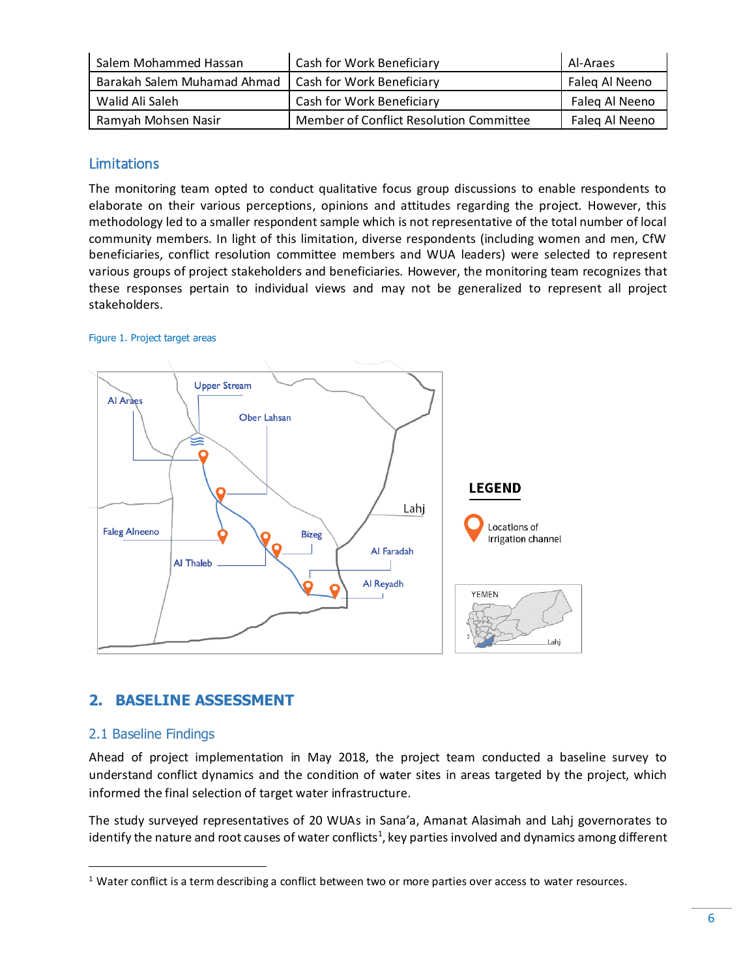| Salem Mohammed Hassan       | Cash for Work Beneficiary               | Al-Araes       |
|-----------------------------|-----------------------------------------|----------------|
| Barakah Salem Muhamad Ahmad | Cash for Work Beneficiary               | Faleg Al Neeno |
| Walid Ali Saleh             | Cash for Work Beneficiary               | Faleg Al Neeno |
| Ramyah Mohsen Nasir         | Member of Conflict Resolution Committee | Faleg Al Neeno |

## <span id="page-5-0"></span>Limitations

The monitoring team opted to conduct qualitative focus group discussions to enable respondents to elaborate on their various perceptions, opinions and attitudes regarding the project. However, this methodology led to a smaller respondent sample which is not representative of the total number of local community members. In light of this limitation, diverse respondents (including women and men, CfW beneficiaries, conflict resolution committee members and WUA leaders) were selected to represent various groups of project stakeholders and beneficiaries. However, the monitoring team recognizes that these responses pertain to individual views and may not be generalized to represent all project stakeholders.

#### Figure 1. Project target areas



# <span id="page-5-1"></span>**2. BASELINE ASSESSMENT**

## <span id="page-5-2"></span>2.1 Baseline Findings

 $\overline{a}$ 

Ahead of project implementation in May 2018, the project team conducted a baseline survey to understand conflict dynamics and the condition of water sites in areas targeted by the project, which informed the final selection of target water infrastructure.

The study surveyed representatives of 20 WUAs in Sana'a, Amanat Alasimah and Lahj governorates to identify the nature and root causes of water conflicts $^1$ , key parties involved and dynamics among different

 $1$  Water conflict is a term describing a conflict between two or more parties over access to water resources.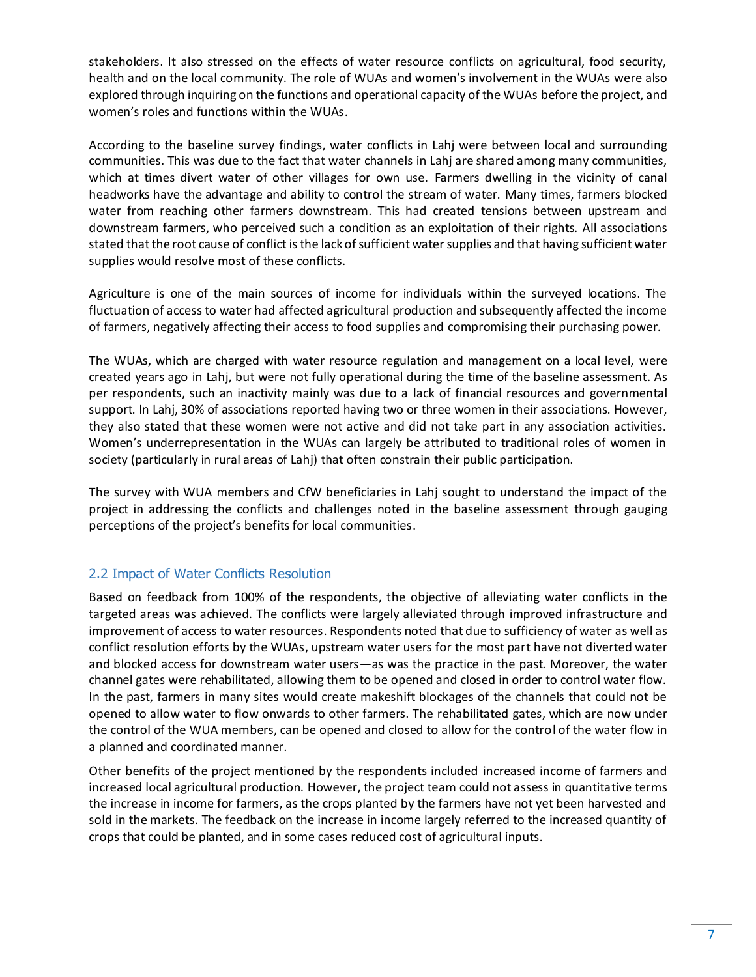stakeholders. It also stressed on the effects of water resource conflicts on agricultural, food security, health and on the local community. The role of WUAs and women's involvement in the WUAs were also explored through inquiring on the functions and operational capacity of the WUAs before the project, and women's roles and functions within the WUAs.

According to the baseline survey findings, water conflicts in Lahj were between local and surrounding communities. This was due to the fact that water channels in Lahj are shared among many communities, which at times divert water of other villages for own use. Farmers dwelling in the vicinity of canal headworks have the advantage and ability to control the stream of water. Many times, farmers blocked water from reaching other farmers downstream. This had created tensions between upstream and downstream farmers, who perceived such a condition as an exploitation of their rights. All associations stated that the root cause of conflict is the lack of sufficient water supplies and that having sufficient water supplies would resolve most of these conflicts.

Agriculture is one of the main sources of income for individuals within the surveyed locations. The fluctuation of access to water had affected agricultural production and subsequently affected the income of farmers, negatively affecting their access to food supplies and compromising their purchasing power.

The WUAs, which are charged with water resource regulation and management on a local level, were created years ago in Lahj, but were not fully operational during the time of the baseline assessment. As per respondents, such an inactivity mainly was due to a lack of financial resources and governmental support. In Lahj, 30% of associations reported having two or three women in their associations. However, they also stated that these women were not active and did not take part in any association activities. Women's underrepresentation in the WUAs can largely be attributed to traditional roles of women in society (particularly in rural areas of Lahj) that often constrain their public participation.

The survey with WUA members and CfW beneficiaries in Lahj sought to understand the impact of the project in addressing the conflicts and challenges noted in the baseline assessment through gauging perceptions of the project's benefits for local communities.

# <span id="page-6-0"></span>2.2 Impact of Water Conflicts Resolution

Based on feedback from 100% of the respondents, the objective of alleviating water conflicts in the targeted areas was achieved. The conflicts were largely alleviated through improved infrastructure and improvement of access to water resources. Respondents noted that due to sufficiency of water as well as conflict resolution efforts by the WUAs, upstream water users for the most part have not diverted water and blocked access for downstream water users—as was the practice in the past. Moreover, the water channel gates were rehabilitated, allowing them to be opened and closed in order to control water flow. In the past, farmers in many sites would create makeshift blockages of the channels that could not be opened to allow water to flow onwards to other farmers. The rehabilitated gates, which are now under the control of the WUA members, can be opened and closed to allow for the control of the water flow in a planned and coordinated manner.

Other benefits of the project mentioned by the respondents included increased income of farmers and increased local agricultural production. However, the project team could not assess in quantitative terms the increase in income for farmers, as the crops planted by the farmers have not yet been harvested and sold in the markets. The feedback on the increase in income largely referred to the increased quantity of crops that could be planted, and in some cases reduced cost of agricultural inputs.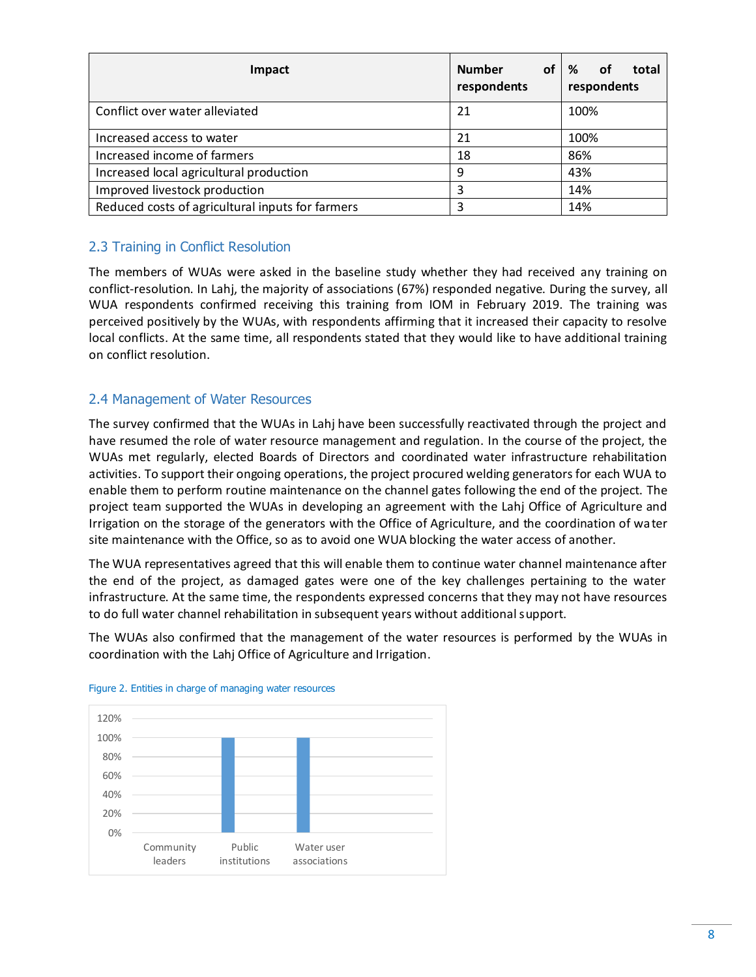| Impact                                           | <b>Number</b><br>respondents | of $\mid$ %<br>οf<br>total<br>respondents |
|--------------------------------------------------|------------------------------|-------------------------------------------|
| Conflict over water alleviated                   | 21                           | 100%                                      |
| Increased access to water                        | 21                           | 100%                                      |
| Increased income of farmers                      | 18                           | 86%                                       |
| Increased local agricultural production          | 9                            | 43%                                       |
| Improved livestock production                    | 3                            | 14%                                       |
| Reduced costs of agricultural inputs for farmers | 3                            | 14%                                       |

## <span id="page-7-0"></span>2.3 Training in Conflict Resolution

The members of WUAs were asked in the baseline study whether they had received any training on conflict-resolution. In Lahj, the majority of associations (67%) responded negative. During the survey, all WUA respondents confirmed receiving this training from IOM in February 2019. The training was perceived positively by the WUAs, with respondents affirming that it increased their capacity to resolve local conflicts. At the same time, all respondents stated that they would like to have additional training on conflict resolution.

#### <span id="page-7-1"></span>2.4 Management of Water Resources

The survey confirmed that the WUAs in Lahj have been successfully reactivated through the project and have resumed the role of water resource management and regulation. In the course of the project, the WUAs met regularly, elected Boards of Directors and coordinated water infrastructure rehabilitation activities. To support their ongoing operations, the project procured welding generators for each WUA to enable them to perform routine maintenance on the channel gates following the end of the project. The project team supported the WUAs in developing an agreement with the Lahj Office of Agriculture and Irrigation on the storage of the generators with the Office of Agriculture, and the coordination of water site maintenance with the Office, so as to avoid one WUA blocking the water access of another.

The WUA representatives agreed that this will enable them to continue water channel maintenance after the end of the project, as damaged gates were one of the key challenges pertaining to the water infrastructure. At the same time, the respondents expressed concerns that they may not have resources to do full water channel rehabilitation in subsequent years without additional support.

The WUAs also confirmed that the management of the water resources is performed by the WUAs in coordination with the Lahj Office of Agriculture and Irrigation.



#### Figure 2. Entities in charge of managing water resources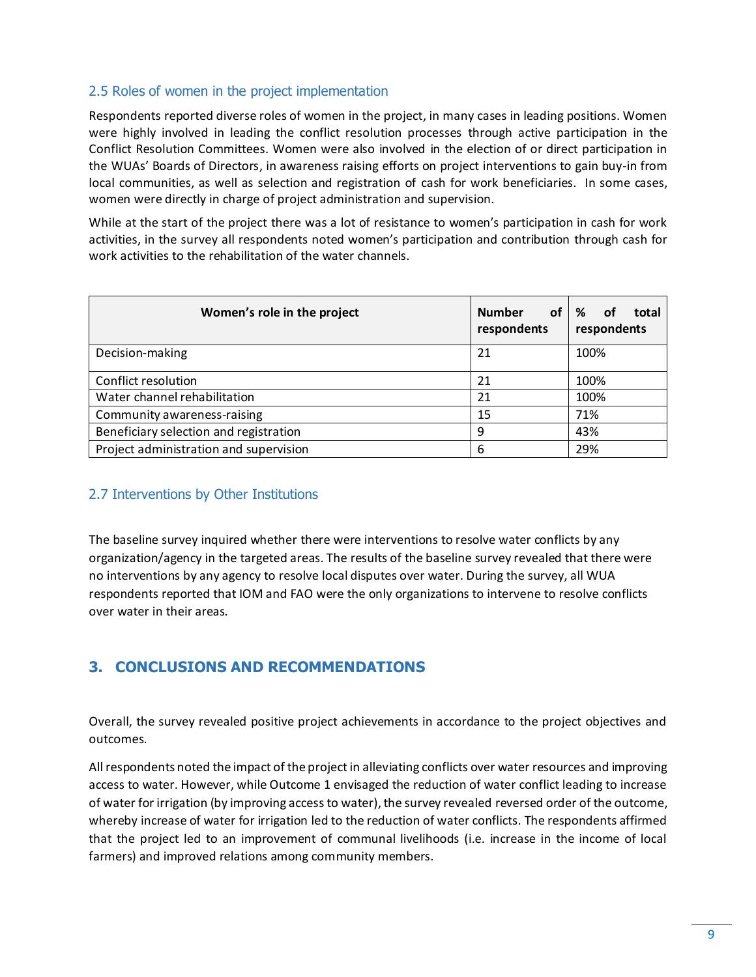#### <span id="page-8-0"></span>2.5 Roles of women in the project implementation

Respondents reported diverse roles of women in the project, in many cases in leading positions. Women were highly involved in leading the conflict resolution processes through active participation in the Conflict Resolution Committees. Women were also involved in the election of or direct participation in the WUAs' Boards of Directors, in awareness raising efforts on project interventions to gain buy-in from local communities, as well as selection and registration of cash for work beneficiaries. In some cases, women were directly in charge of project administration and supervision.

While at the start of the project there was a lot of resistance to women's participation in cash for work activities, in the survey all respondents noted women's participation and contribution through cash for work activities to the rehabilitation of the water channels.

| Women's role in the project            | <b>Number</b><br>οf<br>respondents | %<br>οf<br>total<br>respondents |
|----------------------------------------|------------------------------------|---------------------------------|
| Decision-making                        | 21                                 | 100%                            |
| Conflict resolution                    | 21                                 | 100%                            |
| Water channel rehabilitation           | 21                                 | 100%                            |
| Community awareness-raising            | 15                                 | 71%                             |
| Beneficiary selection and registration | 9                                  | 43%                             |
| Project administration and supervision | 6                                  | 29%                             |

## <span id="page-8-1"></span>2.7 Interventions by Other Institutions

The baseline survey inquired whether there were interventions to resolve water conflicts by any organization/agency in the targeted areas. The results of the baseline survey revealed that there were no interventions by any agency to resolve local disputes over water. During the survey, all WUA respondents reported that IOM and FAO were the only organizations to intervene to resolve conflicts over water in their areas.

# <span id="page-8-2"></span>**3. CONCLUSIONS AND RECOMMENDATIONS**

Overall, the survey revealed positive project achievements in accordance to the project objectives and outcomes.

All respondents noted the impact of the project in alleviating conflicts over water resources and improving access to water. However, while Outcome 1 envisaged the reduction of water conflict leading to increase of water for irrigation (by improving access to water), the survey revealed reversed order of the outcome, whereby increase of water for irrigation led to the reduction of water conflicts. The respondents affirmed that the project led to an improvement of communal livelihoods (i.e. increase in the income of local farmers) and improved relations among community members.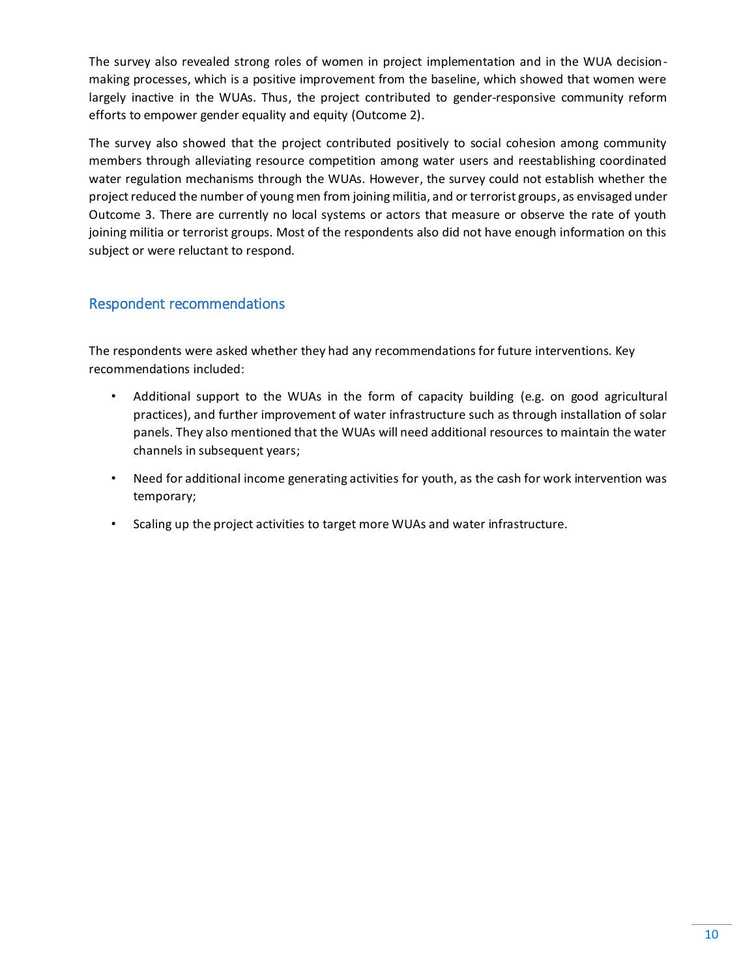The survey also revealed strong roles of women in project implementation and in the WUA decisionmaking processes, which is a positive improvement from the baseline, which showed that women were largely inactive in the WUAs. Thus, the project contributed to gender-responsive community reform efforts to empower gender equality and equity (Outcome 2).

The survey also showed that the project contributed positively to social cohesion among community members through alleviating resource competition among water users and reestablishing coordinated water regulation mechanisms through the WUAs. However, the survey could not establish whether the project reduced the number of young men from joining militia, and or terrorist groups, as envisaged under Outcome 3. There are currently no local systems or actors that measure or observe the rate of youth joining militia or terrorist groups. Most of the respondents also did not have enough information on this subject or were reluctant to respond.

# <span id="page-9-0"></span>Respondent recommendations

The respondents were asked whether they had any recommendations for future interventions. Key recommendations included:

- Additional support to the WUAs in the form of capacity building (e.g. on good agricultural practices), and further improvement of water infrastructure such as through installation of solar panels. They also mentioned that the WUAs will need additional resources to maintain the water channels in subsequent years;
- Need for additional income generating activities for youth, as the cash for work intervention was temporary;
- Scaling up the project activities to target more WUAs and water infrastructure.